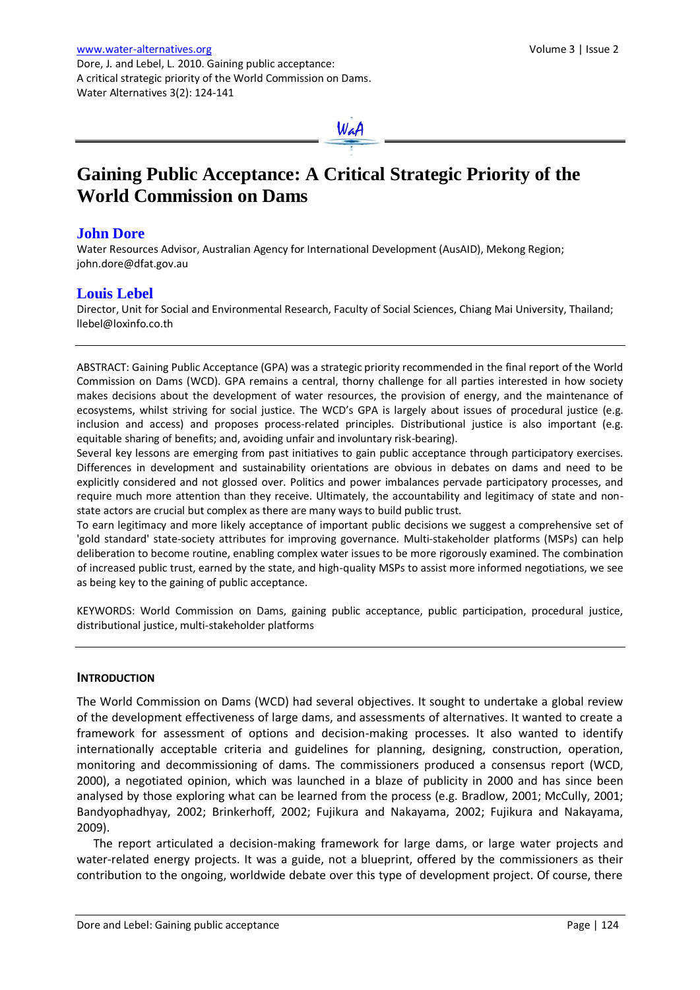WaA

# **Gaining Public Acceptance: A Critical Strategic Priority of the World Commission on Dams**

# **John Dore**

Water Resources Advisor, Australian Agency for International Development (AusAID), Mekong Region; john.dore@dfat.gov.au

# **Louis Lebel**

Director, Unit for Social and Environmental Research, Faculty of Social Sciences, Chiang Mai University, Thailand; llebel@loxinfo.co.th

ABSTRACT: Gaining Public Acceptance (GPA) was a strategic priority recommended in the final report of the World Commission on Dams (WCD). GPA remains a central, thorny challenge for all parties interested in how society makes decisions about the development of water resources, the provision of energy, and the maintenance of ecosystems, whilst striving for social justice. The WCD's GPA is largely about issues of procedural justice (e.g. inclusion and access) and proposes process-related principles. Distributional justice is also important (e.g. equitable sharing of benefits; and, avoiding unfair and involuntary risk-bearing).

Several key lessons are emerging from past initiatives to gain public acceptance through participatory exercises. Differences in development and sustainability orientations are obvious in debates on dams and need to be explicitly considered and not glossed over. Politics and power imbalances pervade participatory processes, and require much more attention than they receive. Ultimately, the accountability and legitimacy of state and nonstate actors are crucial but complex as there are many ways to build public trust.

To earn legitimacy and more likely acceptance of important public decisions we suggest a comprehensive set of 'gold standard' state-society attributes for improving governance. Multi-stakeholder platforms (MSPs) can help deliberation to become routine, enabling complex water issues to be more rigorously examined. The combination of increased public trust, earned by the state, and high-quality MSPs to assist more informed negotiations, we see as being key to the gaining of public acceptance.

KEYWORDS: World Commission on Dams, gaining public acceptance, public participation, procedural justice, distributional justice, multi-stakeholder platforms

#### **INTRODUCTION**

The World Commission on Dams (WCD) had several objectives. It sought to undertake a global review of the development effectiveness of large dams, and assessments of alternatives. It wanted to create a framework for assessment of options and decision-making processes. It also wanted to identify internationally acceptable criteria and guidelines for planning, designing, construction, operation, monitoring and decommissioning of dams. The commissioners produced a consensus report (WCD, 2000), a negotiated opinion, which was launched in a blaze of publicity in 2000 and has since been analysed by those exploring what can be learned from the process (e.g. Bradlow, 2001; McCully, 2001; Bandyophadhyay, 2002; Brinkerhoff, 2002; Fujikura and Nakayama, 2002; Fujikura and Nakayama, 2009).

The report articulated a decision-making framework for large dams, or large water projects and water-related energy projects. It was a guide, not a blueprint, offered by the commissioners as their contribution to the ongoing, worldwide debate over this type of development project. Of course, there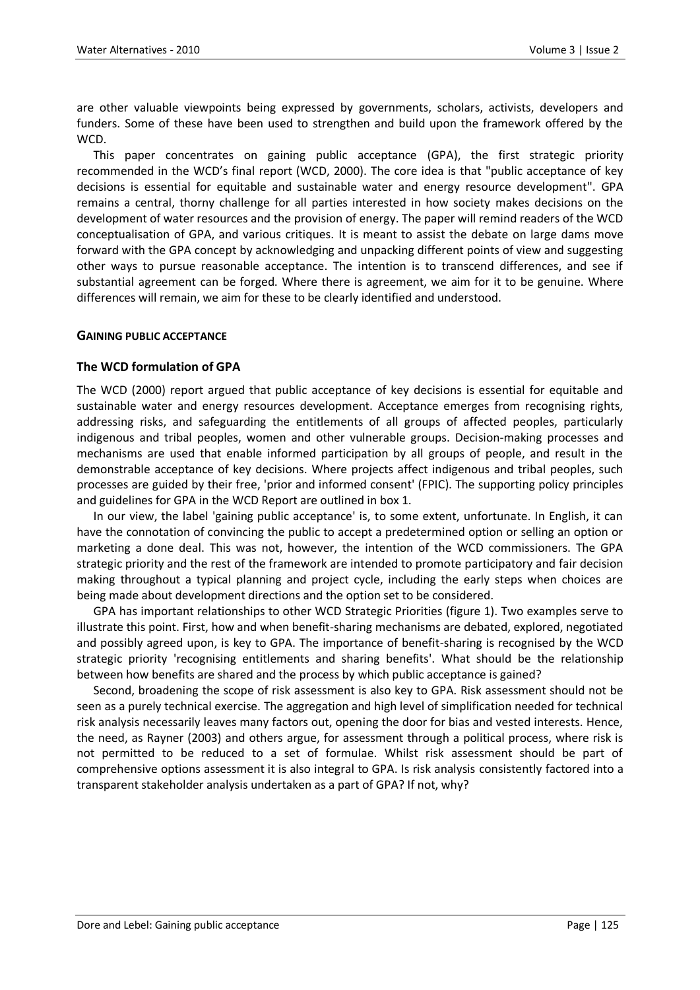are other valuable viewpoints being expressed by governments, scholars, activists, developers and funders. Some of these have been used to strengthen and build upon the framework offered by the WCD.

This paper concentrates on gaining public acceptance (GPA), the first strategic priority recommended in the WCD's final report (WCD, 2000). The core idea is that "public acceptance of key decisions is essential for equitable and sustainable water and energy resource development". GPA remains a central, thorny challenge for all parties interested in how society makes decisions on the development of water resources and the provision of energy. The paper will remind readers of the WCD conceptualisation of GPA, and various critiques. It is meant to assist the debate on large dams move forward with the GPA concept by acknowledging and unpacking different points of view and suggesting other ways to pursue reasonable acceptance. The intention is to transcend differences, and see if substantial agreement can be forged. Where there is agreement, we aim for it to be genuine. Where differences will remain, we aim for these to be clearly identified and understood.

#### **GAINING PUBLIC ACCEPTANCE**

#### **The WCD formulation of GPA**

The WCD (2000) report argued that public acceptance of key decisions is essential for equitable and sustainable water and energy resources development. Acceptance emerges from recognising rights, addressing risks, and safeguarding the entitlements of all groups of affected peoples, particularly indigenous and tribal peoples, women and other vulnerable groups. Decision-making processes and mechanisms are used that enable informed participation by all groups of people, and result in the demonstrable acceptance of key decisions. Where projects affect indigenous and tribal peoples, such processes are guided by their free, 'prior and informed consent' (FPIC). The supporting policy principles and guidelines for GPA in the WCD Report are outlined in box 1.

In our view, the label 'gaining public acceptance' is, to some extent, unfortunate. In English, it can have the connotation of convincing the public to accept a predetermined option or selling an option or marketing a done deal. This was not, however, the intention of the WCD commissioners. The GPA strategic priority and the rest of the framework are intended to promote participatory and fair decision making throughout a typical planning and project cycle, including the early steps when choices are being made about development directions and the option set to be considered.

GPA has important relationships to other WCD Strategic Priorities (figure 1). Two examples serve to illustrate this point. First, how and when benefit-sharing mechanisms are debated, explored, negotiated and possibly agreed upon, is key to GPA. The importance of benefit-sharing is recognised by the WCD strategic priority 'recognising entitlements and sharing benefits'. What should be the relationship between how benefits are shared and the process by which public acceptance is gained?

Second, broadening the scope of risk assessment is also key to GPA. Risk assessment should not be seen as a purely technical exercise. The aggregation and high level of simplification needed for technical risk analysis necessarily leaves many factors out, opening the door for bias and vested interests. Hence, the need, as Rayner (2003) and others argue, for assessment through a political process, where risk is not permitted to be reduced to a set of formulae. Whilst risk assessment should be part of comprehensive options assessment it is also integral to GPA. Is risk analysis consistently factored into a transparent stakeholder analysis undertaken as a part of GPA? If not, why?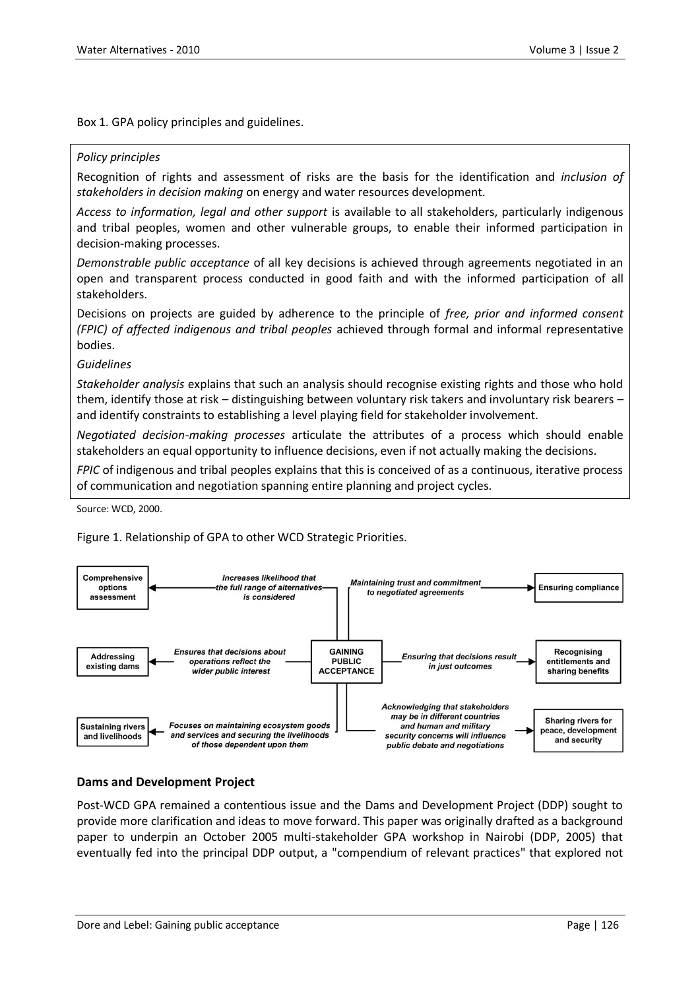Box 1. GPA policy principles and guidelines.

#### *Policy principles*

Recognition of rights and assessment of risks are the basis for the identification and *inclusion of stakeholders in decision making* on energy and water resources development.

*Access to information, legal and other support* is available to all stakeholders, particularly indigenous and tribal peoples, women and other vulnerable groups, to enable their informed participation in decision-making processes.

*Demonstrable public acceptance* of all key decisions is achieved through agreements negotiated in an open and transparent process conducted in good faith and with the informed participation of all stakeholders.

Decisions on projects are guided by adherence to the principle of *free, prior and informed consent (FPIC) of affected indigenous and tribal peoples* achieved through formal and informal representative bodies.

#### *Guidelines*

*Stakeholder analysis* explains that such an analysis should recognise existing rights and those who hold them, identify those at risk – distinguishing between voluntary risk takers and involuntary risk bearers – and identify constraints to establishing a level playing field for stakeholder involvement.

*Negotiated decision-making processes* articulate the attributes of a process which should enable stakeholders an equal opportunity to influence decisions, even if not actually making the decisions.

*FPIC* of indigenous and tribal peoples explains that this is conceived of as a continuous, iterative process of communication and negotiation spanning entire planning and project cycles.

Source: WCD, 2000.

Figure 1. Relationship of GPA to other WCD Strategic Priorities.



#### **Dams and Development Project**

Post-WCD GPA remained a contentious issue and the Dams and Development Project (DDP) sought to provide more clarification and ideas to move forward. This paper was originally drafted as a background paper to underpin an October 2005 multi-stakeholder GPA workshop in Nairobi (DDP, 2005) that eventually fed into the principal DDP output, a "compendium of relevant practices" that explored not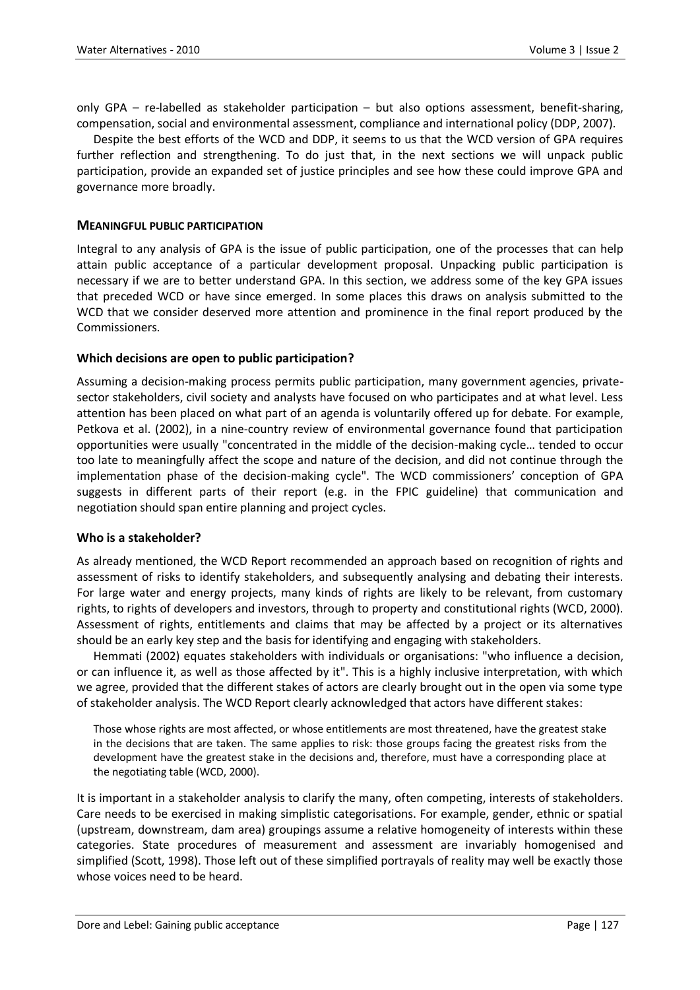only GPA – re-labelled as stakeholder participation – but also options assessment, benefit-sharing, compensation, social and environmental assessment, compliance and international policy (DDP, 2007).

Despite the best efforts of the WCD and DDP, it seems to us that the WCD version of GPA requires further reflection and strengthening. To do just that, in the next sections we will unpack public participation, provide an expanded set of justice principles and see how these could improve GPA and governance more broadly.

#### **MEANINGFUL PUBLIC PARTICIPATION**

Integral to any analysis of GPA is the issue of public participation, one of the processes that can help attain public acceptance of a particular development proposal. Unpacking public participation is necessary if we are to better understand GPA. In this section, we address some of the key GPA issues that preceded WCD or have since emerged. In some places this draws on analysis submitted to the WCD that we consider deserved more attention and prominence in the final report produced by the Commissioners.

## **Which decisions are open to public participation?**

Assuming a decision-making process permits public participation, many government agencies, privatesector stakeholders, civil society and analysts have focused on who participates and at what level. Less attention has been placed on what part of an agenda is voluntarily offered up for debate. For example, Petkova et al. (2002), in a nine-country review of environmental governance found that participation opportunities were usually "concentrated in the middle of the decision-making cycle… tended to occur too late to meaningfully affect the scope and nature of the decision, and did not continue through the implementation phase of the decision-making cycle". The WCD commissioners' conception of GPA suggests in different parts of their report (e.g. in the FPIC guideline) that communication and negotiation should span entire planning and project cycles.

#### **Who is a stakeholder?**

As already mentioned, the WCD Report recommended an approach based on recognition of rights and assessment of risks to identify stakeholders, and subsequently analysing and debating their interests. For large water and energy projects, many kinds of rights are likely to be relevant, from customary rights, to rights of developers and investors, through to property and constitutional rights (WCD, 2000). Assessment of rights, entitlements and claims that may be affected by a project or its alternatives should be an early key step and the basis for identifying and engaging with stakeholders.

Hemmati (2002) equates stakeholders with individuals or organisations: "who influence a decision, or can influence it, as well as those affected by it". This is a highly inclusive interpretation, with which we agree, provided that the different stakes of actors are clearly brought out in the open via some type of stakeholder analysis. The WCD Report clearly acknowledged that actors have different stakes:

Those whose rights are most affected, or whose entitlements are most threatened, have the greatest stake in the decisions that are taken. The same applies to risk: those groups facing the greatest risks from the development have the greatest stake in the decisions and, therefore, must have a corresponding place at the negotiating table (WCD, 2000).

It is important in a stakeholder analysis to clarify the many, often competing, interests of stakeholders. Care needs to be exercised in making simplistic categorisations. For example, gender, ethnic or spatial (upstream, downstream, dam area) groupings assume a relative homogeneity of interests within these categories. State procedures of measurement and assessment are invariably homogenised and simplified (Scott, 1998). Those left out of these simplified portrayals of reality may well be exactly those whose voices need to be heard.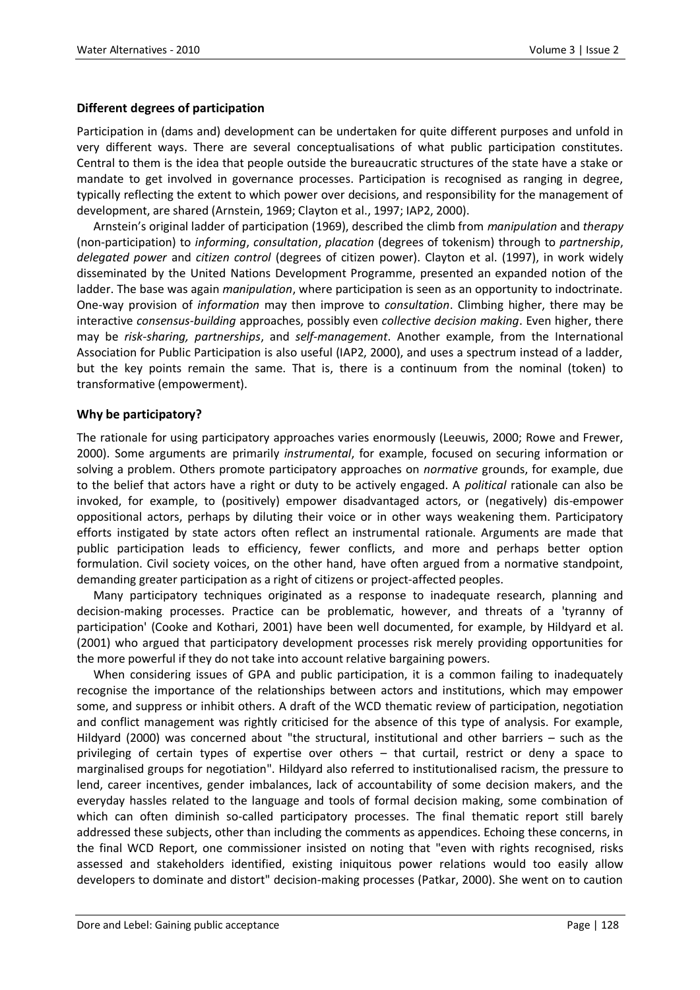## **Different degrees of participation**

Participation in (dams and) development can be undertaken for quite different purposes and unfold in very different ways. There are several conceptualisations of what public participation constitutes. Central to them is the idea that people outside the bureaucratic structures of the state have a stake or mandate to get involved in governance processes. Participation is recognised as ranging in degree, typically reflecting the extent to which power over decisions, and responsibility for the management of development, are shared (Arnstein, 1969; Clayton et al., 1997; IAP2, 2000).

Arnstein's original ladder of participation (1969), described the climb from *manipulation* and *therapy* (non-participation) to *informing*, *consultation*, *placation* (degrees of tokenism) through to *partnership*, *delegated power* and *citizen control* (degrees of citizen power). Clayton et al. (1997), in work widely disseminated by the United Nations Development Programme, presented an expanded notion of the ladder. The base was again *manipulation*, where participation is seen as an opportunity to indoctrinate. One-way provision of *information* may then improve to *consultation*. Climbing higher, there may be interactive *consensus-building* approaches, possibly even *collective decision making*. Even higher, there may be *risk-sharing, partnerships*, and *self-management*. Another example, from the International Association for Public Participation is also useful (IAP2, 2000), and uses a spectrum instead of a ladder, but the key points remain the same. That is, there is a continuum from the nominal (token) to transformative (empowerment).

## **Why be participatory?**

The rationale for using participatory approaches varies enormously (Leeuwis, 2000; Rowe and Frewer, 2000). Some arguments are primarily *instrumental*, for example, focused on securing information or solving a problem. Others promote participatory approaches on *normative* grounds, for example, due to the belief that actors have a right or duty to be actively engaged. A *political* rationale can also be invoked, for example, to (positively) empower disadvantaged actors, or (negatively) dis-empower oppositional actors, perhaps by diluting their voice or in other ways weakening them. Participatory efforts instigated by state actors often reflect an instrumental rationale. Arguments are made that public participation leads to efficiency, fewer conflicts, and more and perhaps better option formulation. Civil society voices, on the other hand, have often argued from a normative standpoint, demanding greater participation as a right of citizens or project-affected peoples.

Many participatory techniques originated as a response to inadequate research, planning and decision-making processes. Practice can be problematic, however, and threats of a 'tyranny of participation' (Cooke and Kothari, 2001) have been well documented, for example, by Hildyard et al. (2001) who argued that participatory development processes risk merely providing opportunities for the more powerful if they do not take into account relative bargaining powers.

When considering issues of GPA and public participation, it is a common failing to inadequately recognise the importance of the relationships between actors and institutions, which may empower some, and suppress or inhibit others. A draft of the WCD thematic review of participation, negotiation and conflict management was rightly criticised for the absence of this type of analysis. For example, Hildyard (2000) was concerned about "the structural, institutional and other barriers – such as the privileging of certain types of expertise over others – that curtail, restrict or deny a space to marginalised groups for negotiation". Hildyard also referred to institutionalised racism, the pressure to lend, career incentives, gender imbalances, lack of accountability of some decision makers, and the everyday hassles related to the language and tools of formal decision making, some combination of which can often diminish so-called participatory processes. The final thematic report still barely addressed these subjects, other than including the comments as appendices. Echoing these concerns, in the final WCD Report, one commissioner insisted on noting that "even with rights recognised, risks assessed and stakeholders identified, existing iniquitous power relations would too easily allow developers to dominate and distort" decision-making processes (Patkar, 2000). She went on to caution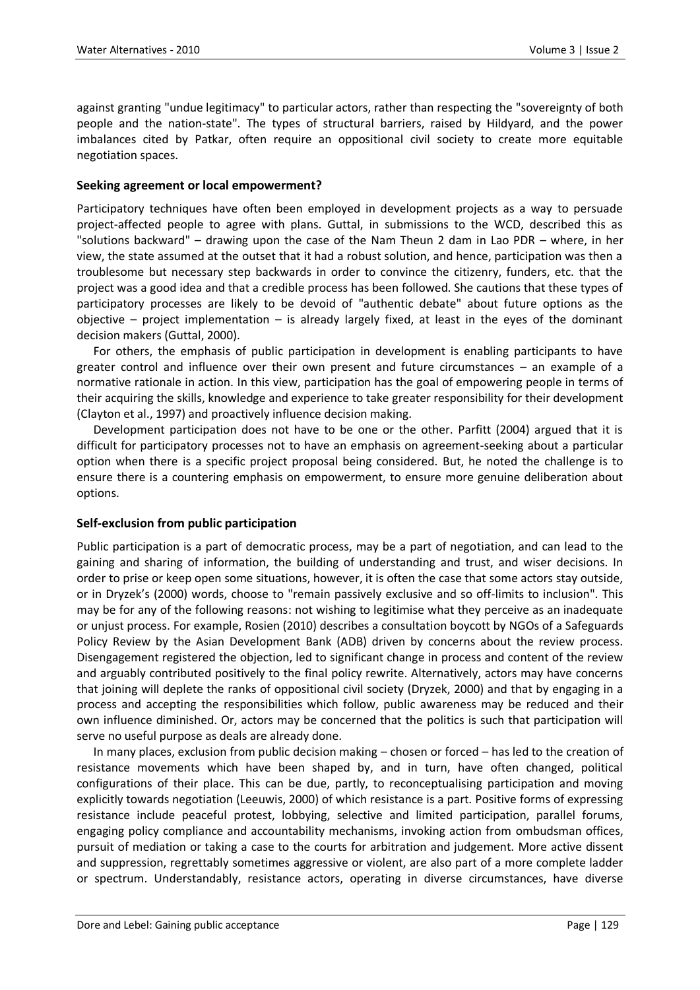against granting "undue legitimacy" to particular actors, rather than respecting the "sovereignty of both people and the nation-state". The types of structural barriers, raised by Hildyard, and the power imbalances cited by Patkar, often require an oppositional civil society to create more equitable negotiation spaces.

## **Seeking agreement or local empowerment?**

Participatory techniques have often been employed in development projects as a way to persuade project-affected people to agree with plans. Guttal, in submissions to the WCD, described this as "solutions backward" – drawing upon the case of the Nam Theun 2 dam in Lao PDR – where, in her view, the state assumed at the outset that it had a robust solution, and hence, participation was then a troublesome but necessary step backwards in order to convince the citizenry, funders, etc. that the project was a good idea and that a credible process has been followed. She cautions that these types of participatory processes are likely to be devoid of "authentic debate" about future options as the objective – project implementation – is already largely fixed, at least in the eyes of the dominant decision makers (Guttal, 2000).

For others, the emphasis of public participation in development is enabling participants to have greater control and influence over their own present and future circumstances – an example of a normative rationale in action. In this view, participation has the goal of empowering people in terms of their acquiring the skills, knowledge and experience to take greater responsibility for their development (Clayton et al., 1997) and proactively influence decision making.

Development participation does not have to be one or the other. Parfitt (2004) argued that it is difficult for participatory processes not to have an emphasis on agreement-seeking about a particular option when there is a specific project proposal being considered. But, he noted the challenge is to ensure there is a countering emphasis on empowerment, to ensure more genuine deliberation about options.

#### **Self-exclusion from public participation**

Public participation is a part of democratic process, may be a part of negotiation, and can lead to the gaining and sharing of information, the building of understanding and trust, and wiser decisions. In order to prise or keep open some situations, however, it is often the case that some actors stay outside, or in Dryzek's (2000) words, choose to "remain passively exclusive and so off-limits to inclusion". This may be for any of the following reasons: not wishing to legitimise what they perceive as an inadequate or unjust process. For example, Rosien (2010) describes a consultation boycott by NGOs of a Safeguards Policy Review by the Asian Development Bank (ADB) driven by concerns about the review process. Disengagement registered the objection, led to significant change in process and content of the review and arguably contributed positively to the final policy rewrite. Alternatively, actors may have concerns that joining will deplete the ranks of oppositional civil society (Dryzek, 2000) and that by engaging in a process and accepting the responsibilities which follow, public awareness may be reduced and their own influence diminished. Or, actors may be concerned that the politics is such that participation will serve no useful purpose as deals are already done.

In many places, exclusion from public decision making – chosen or forced – has led to the creation of resistance movements which have been shaped by, and in turn, have often changed, political configurations of their place. This can be due, partly, to reconceptualising participation and moving explicitly towards negotiation (Leeuwis, 2000) of which resistance is a part. Positive forms of expressing resistance include peaceful protest, lobbying, selective and limited participation, parallel forums, engaging policy compliance and accountability mechanisms, invoking action from ombudsman offices, pursuit of mediation or taking a case to the courts for arbitration and judgement. More active dissent and suppression, regrettably sometimes aggressive or violent, are also part of a more complete ladder or spectrum. Understandably, resistance actors, operating in diverse circumstances, have diverse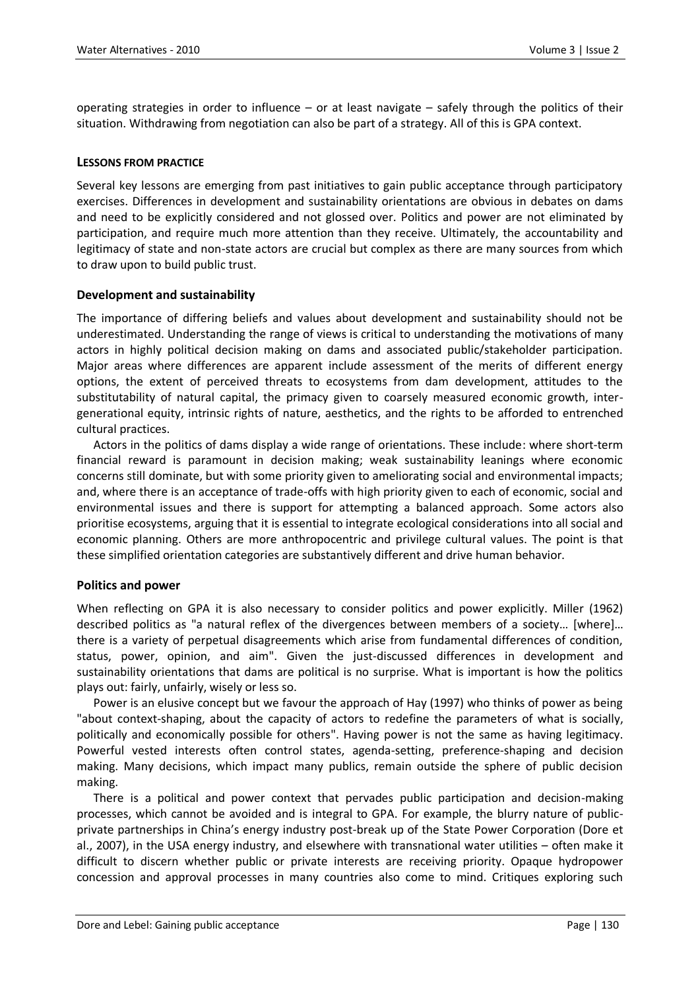operating strategies in order to influence – or at least navigate – safely through the politics of their situation. Withdrawing from negotiation can also be part of a strategy. All of this is GPA context.

#### **LESSONS FROM PRACTICE**

Several key lessons are emerging from past initiatives to gain public acceptance through participatory exercises. Differences in development and sustainability orientations are obvious in debates on dams and need to be explicitly considered and not glossed over. Politics and power are not eliminated by participation, and require much more attention than they receive. Ultimately, the accountability and legitimacy of state and non-state actors are crucial but complex as there are many sources from which to draw upon to build public trust.

#### **Development and sustainability**

The importance of differing beliefs and values about development and sustainability should not be underestimated. Understanding the range of views is critical to understanding the motivations of many actors in highly political decision making on dams and associated public/stakeholder participation. Major areas where differences are apparent include assessment of the merits of different energy options, the extent of perceived threats to ecosystems from dam development, attitudes to the substitutability of natural capital, the primacy given to coarsely measured economic growth, intergenerational equity, intrinsic rights of nature, aesthetics, and the rights to be afforded to entrenched cultural practices.

Actors in the politics of dams display a wide range of orientations. These include: where short-term financial reward is paramount in decision making; weak sustainability leanings where economic concerns still dominate, but with some priority given to ameliorating social and environmental impacts; and, where there is an acceptance of trade-offs with high priority given to each of economic, social and environmental issues and there is support for attempting a balanced approach. Some actors also prioritise ecosystems, arguing that it is essential to integrate ecological considerations into all social and economic planning. Others are more anthropocentric and privilege cultural values. The point is that these simplified orientation categories are substantively different and drive human behavior.

#### **Politics and power**

When reflecting on GPA it is also necessary to consider politics and power explicitly. Miller (1962) described politics as "a natural reflex of the divergences between members of a society... [where]... there is a variety of perpetual disagreements which arise from fundamental differences of condition, status, power, opinion, and aim". Given the just-discussed differences in development and sustainability orientations that dams are political is no surprise. What is important is how the politics plays out: fairly, unfairly, wisely or less so.

Power is an elusive concept but we favour the approach of Hay (1997) who thinks of power as being "about context-shaping, about the capacity of actors to redefine the parameters of what is socially, politically and economically possible for others". Having power is not the same as having legitimacy. Powerful vested interests often control states, agenda-setting, preference-shaping and decision making. Many decisions, which impact many publics, remain outside the sphere of public decision making.

There is a political and power context that pervades public participation and decision-making processes, which cannot be avoided and is integral to GPA. For example, the blurry nature of publicprivate partnerships in China's energy industry post-break up of the State Power Corporation (Dore et al., 2007), in the USA energy industry, and elsewhere with transnational water utilities – often make it difficult to discern whether public or private interests are receiving priority. Opaque hydropower concession and approval processes in many countries also come to mind. Critiques exploring such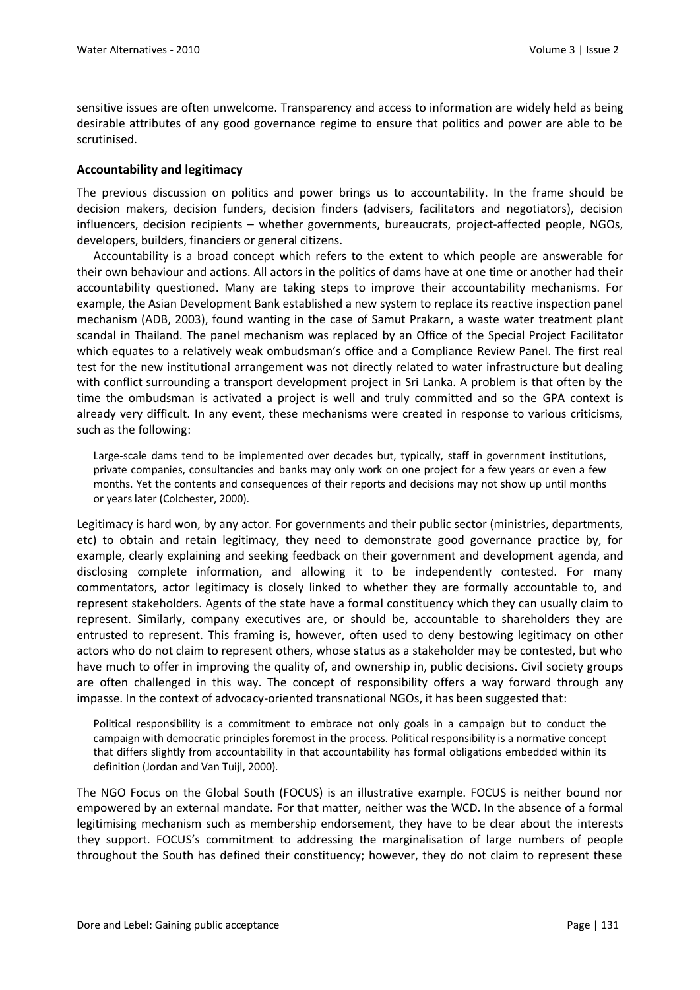sensitive issues are often unwelcome. Transparency and access to information are widely held as being desirable attributes of any good governance regime to ensure that politics and power are able to be scrutinised.

## **Accountability and legitimacy**

The previous discussion on politics and power brings us to accountability. In the frame should be decision makers, decision funders, decision finders (advisers, facilitators and negotiators), decision influencers, decision recipients – whether governments, bureaucrats, project-affected people, NGOs, developers, builders, financiers or general citizens.

Accountability is a broad concept which refers to the extent to which people are answerable for their own behaviour and actions. All actors in the politics of dams have at one time or another had their accountability questioned. Many are taking steps to improve their accountability mechanisms. For example, the Asian Development Bank established a new system to replace its reactive inspection panel mechanism (ADB, 2003), found wanting in the case of Samut Prakarn, a waste water treatment plant scandal in Thailand. The panel mechanism was replaced by an Office of the Special Project Facilitator which equates to a relatively weak ombudsman's office and a Compliance Review Panel. The first real test for the new institutional arrangement was not directly related to water infrastructure but dealing with conflict surrounding a transport development project in Sri Lanka. A problem is that often by the time the ombudsman is activated a project is well and truly committed and so the GPA context is already very difficult. In any event, these mechanisms were created in response to various criticisms, such as the following:

Large-scale dams tend to be implemented over decades but, typically, staff in government institutions, private companies, consultancies and banks may only work on one project for a few years or even a few months. Yet the contents and consequences of their reports and decisions may not show up until months or years later (Colchester, 2000).

Legitimacy is hard won, by any actor. For governments and their public sector (ministries, departments, etc) to obtain and retain legitimacy, they need to demonstrate good governance practice by, for example, clearly explaining and seeking feedback on their government and development agenda, and disclosing complete information, and allowing it to be independently contested. For many commentators, actor legitimacy is closely linked to whether they are formally accountable to, and represent stakeholders. Agents of the state have a formal constituency which they can usually claim to represent. Similarly, company executives are, or should be, accountable to shareholders they are entrusted to represent. This framing is, however, often used to deny bestowing legitimacy on other actors who do not claim to represent others, whose status as a stakeholder may be contested, but who have much to offer in improving the quality of, and ownership in, public decisions. Civil society groups are often challenged in this way. The concept of responsibility offers a way forward through any impasse. In the context of advocacy-oriented transnational NGOs, it has been suggested that:

Political responsibility is a commitment to embrace not only goals in a campaign but to conduct the campaign with democratic principles foremost in the process. Political responsibility is a normative concept that differs slightly from accountability in that accountability has formal obligations embedded within its definition (Jordan and Van Tuijl, 2000).

The NGO Focus on the Global South (FOCUS) is an illustrative example. FOCUS is neither bound nor empowered by an external mandate. For that matter, neither was the WCD. In the absence of a formal legitimising mechanism such as membership endorsement, they have to be clear about the interests they support. FOCUS's commitment to addressing the marginalisation of large numbers of people throughout the South has defined their constituency; however, they do not claim to represent these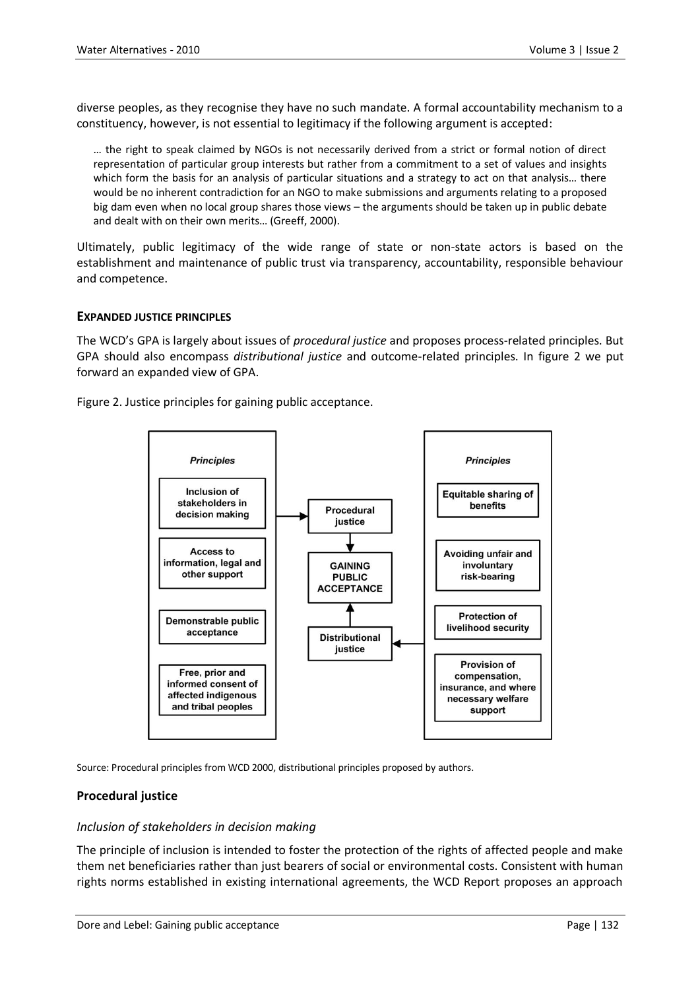diverse peoples, as they recognise they have no such mandate. A formal accountability mechanism to a constituency, however, is not essential to legitimacy if the following argument is accepted:

… the right to speak claimed by NGOs is not necessarily derived from a strict or formal notion of direct representation of particular group interests but rather from a commitment to a set of values and insights which form the basis for an analysis of particular situations and a strategy to act on that analysis… there would be no inherent contradiction for an NGO to make submissions and arguments relating to a proposed big dam even when no local group shares those views – the arguments should be taken up in public debate and dealt with on their own merits… (Greeff, 2000).

Ultimately, public legitimacy of the wide range of state or non-state actors is based on the establishment and maintenance of public trust via transparency, accountability, responsible behaviour and competence.

#### **EXPANDED JUSTICE PRINCIPLES**

The WCD's GPA is largely about issues of *procedural justice* and proposes process-related principles. But GPA should also encompass *distributional justice* and outcome-related principles. In figure 2 we put forward an expanded view of GPA.

Figure 2. Justice principles for gaining public acceptance.



Source: Procedural principles from WCD 2000, distributional principles proposed by authors.

# **Procedural justice**

#### *Inclusion of stakeholders in decision making*

The principle of inclusion is intended to foster the protection of the rights of affected people and make them net beneficiaries rather than just bearers of social or environmental costs. Consistent with human rights norms established in existing international agreements, the WCD Report proposes an approach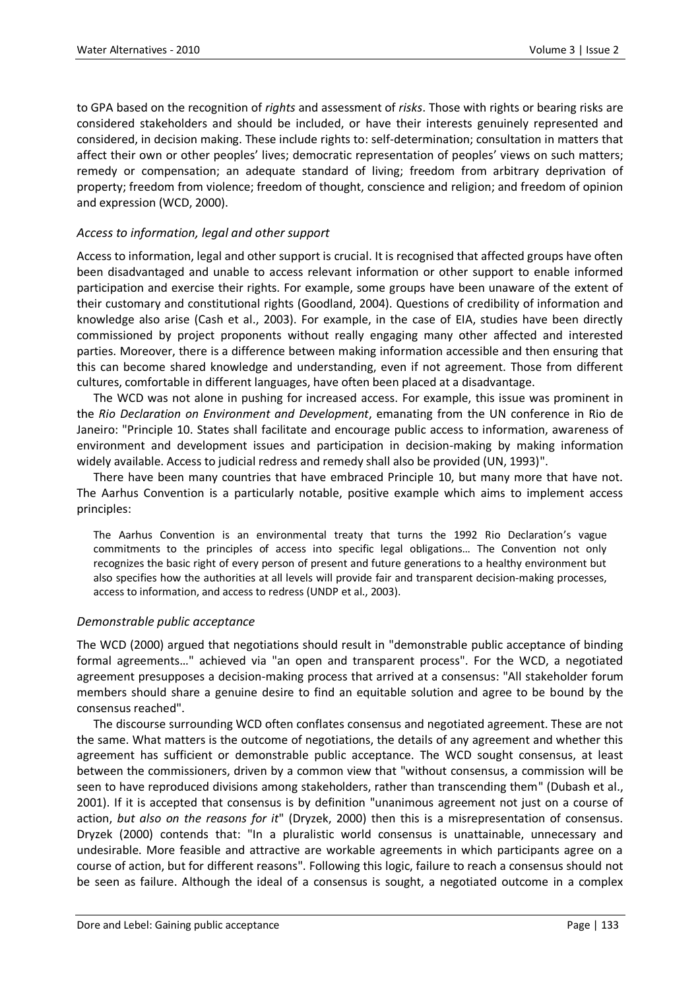to GPA based on the recognition of *rights* and assessment of *risks*. Those with rights or bearing risks are considered stakeholders and should be included, or have their interests genuinely represented and considered, in decision making. These include rights to: self-determination; consultation in matters that affect their own or other peoples' lives; democratic representation of peoples' views on such matters; remedy or compensation; an adequate standard of living; freedom from arbitrary deprivation of property; freedom from violence; freedom of thought, conscience and religion; and freedom of opinion and expression (WCD, 2000).

## *Access to information, legal and other support*

Access to information, legal and other support is crucial. It is recognised that affected groups have often been disadvantaged and unable to access relevant information or other support to enable informed participation and exercise their rights. For example, some groups have been unaware of the extent of their customary and constitutional rights (Goodland, 2004). Questions of credibility of information and knowledge also arise (Cash et al., 2003). For example, in the case of EIA, studies have been directly commissioned by project proponents without really engaging many other affected and interested parties. Moreover, there is a difference between making information accessible and then ensuring that this can become shared knowledge and understanding, even if not agreement. Those from different cultures, comfortable in different languages, have often been placed at a disadvantage.

The WCD was not alone in pushing for increased access. For example, this issue was prominent in the *Rio Declaration on Environment and Development*, emanating from the UN conference in Rio de Janeiro: "Principle 10. States shall facilitate and encourage public access to information, awareness of environment and development issues and participation in decision-making by making information widely available. Access to judicial redress and remedy shall also be provided (UN, 1993)".

There have been many countries that have embraced Principle 10, but many more that have not. The Aarhus Convention is a particularly notable, positive example which aims to implement access principles:

The Aarhus Convention is an environmental treaty that turns the 1992 Rio Declaration's vague commitments to the principles of access into specific legal obligations… The Convention not only recognizes the basic right of every person of present and future generations to a healthy environment but also specifies how the authorities at all levels will provide fair and transparent decision-making processes, access to information, and access to redress (UNDP et al., 2003).

#### *Demonstrable public acceptance*

The WCD (2000) argued that negotiations should result in "demonstrable public acceptance of binding formal agreements…" achieved via "an open and transparent process". For the WCD, a negotiated agreement presupposes a decision-making process that arrived at a consensus: "All stakeholder forum members should share a genuine desire to find an equitable solution and agree to be bound by the consensus reached".

The discourse surrounding WCD often conflates consensus and negotiated agreement. These are not the same. What matters is the outcome of negotiations, the details of any agreement and whether this agreement has sufficient or demonstrable public acceptance. The WCD sought consensus, at least between the commissioners, driven by a common view that "without consensus, a commission will be seen to have reproduced divisions among stakeholders, rather than transcending them" (Dubash et al., 2001). If it is accepted that consensus is by definition "unanimous agreement not just on a course of action, *but also on the reasons for it*" (Dryzek, 2000) then this is a misrepresentation of consensus. Dryzek (2000) contends that: "In a pluralistic world consensus is unattainable, unnecessary and undesirable. More feasible and attractive are workable agreements in which participants agree on a course of action, but for different reasons". Following this logic, failure to reach a consensus should not be seen as failure. Although the ideal of a consensus is sought, a negotiated outcome in a complex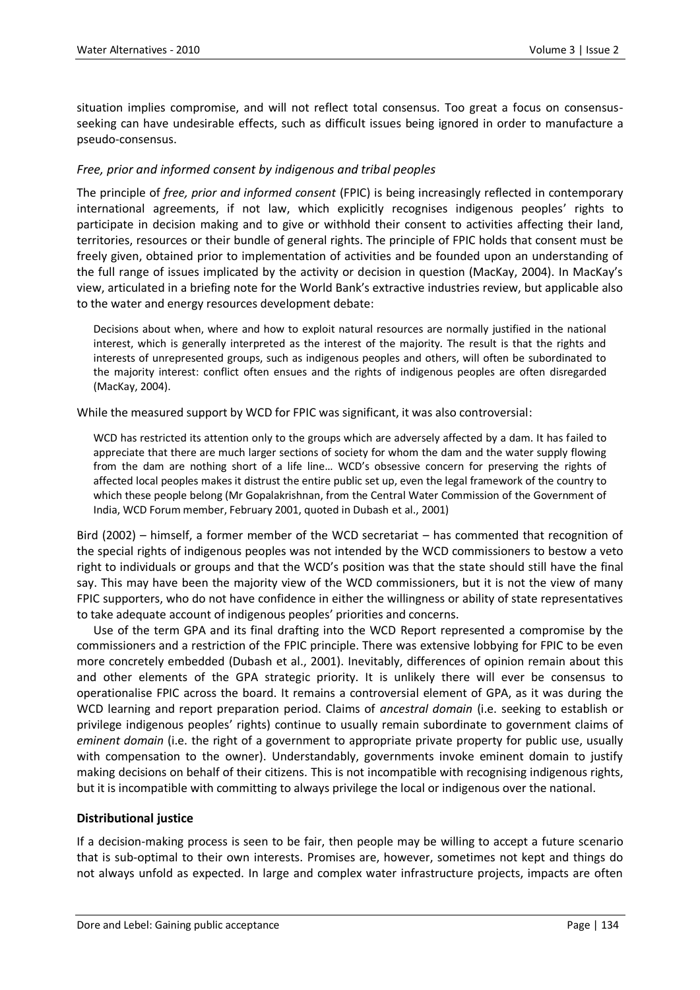situation implies compromise, and will not reflect total consensus. Too great a focus on consensusseeking can have undesirable effects, such as difficult issues being ignored in order to manufacture a pseudo-consensus.

# *Free, prior and informed consent by indigenous and tribal peoples*

The principle of *free, prior and informed consent* (FPIC) is being increasingly reflected in contemporary international agreements, if not law, which explicitly recognises indigenous peoples' rights to participate in decision making and to give or withhold their consent to activities affecting their land, territories, resources or their bundle of general rights. The principle of FPIC holds that consent must be freely given, obtained prior to implementation of activities and be founded upon an understanding of the full range of issues implicated by the activity or decision in question (MacKay, 2004). In MacKay's view, articulated in a briefing note for the World Bank's extractive industries review, but applicable also to the water and energy resources development debate:

Decisions about when, where and how to exploit natural resources are normally justified in the national interest, which is generally interpreted as the interest of the majority. The result is that the rights and interests of unrepresented groups, such as indigenous peoples and others, will often be subordinated to the majority interest: conflict often ensues and the rights of indigenous peoples are often disregarded (MacKay, 2004).

While the measured support by WCD for FPIC was significant, it was also controversial:

WCD has restricted its attention only to the groups which are adversely affected by a dam. It has failed to appreciate that there are much larger sections of society for whom the dam and the water supply flowing from the dam are nothing short of a life line… WCD's obsessive concern for preserving the rights of affected local peoples makes it distrust the entire public set up, even the legal framework of the country to which these people belong (Mr Gopalakrishnan, from the Central Water Commission of the Government of India, WCD Forum member, February 2001, quoted in Dubash et al., 2001)

Bird (2002) – himself, a former member of the WCD secretariat – has commented that recognition of the special rights of indigenous peoples was not intended by the WCD commissioners to bestow a veto right to individuals or groups and that the WCD's position was that the state should still have the final say. This may have been the majority view of the WCD commissioners, but it is not the view of many FPIC supporters, who do not have confidence in either the willingness or ability of state representatives to take adequate account of indigenous peoples' priorities and concerns.

Use of the term GPA and its final drafting into the WCD Report represented a compromise by the commissioners and a restriction of the FPIC principle. There was extensive lobbying for FPIC to be even more concretely embedded (Dubash et al., 2001). Inevitably, differences of opinion remain about this and other elements of the GPA strategic priority. It is unlikely there will ever be consensus to operationalise FPIC across the board. It remains a controversial element of GPA, as it was during the WCD learning and report preparation period. Claims of *ancestral domain* (i.e. seeking to establish or privilege indigenous peoples' rights) continue to usually remain subordinate to government claims of *eminent domain* (i.e. the right of a government to appropriate private property for public use, usually with compensation to the owner). Understandably, governments invoke eminent domain to justify making decisions on behalf of their citizens. This is not incompatible with recognising indigenous rights, but it is incompatible with committing to always privilege the local or indigenous over the national.

#### **Distributional justice**

If a decision-making process is seen to be fair, then people may be willing to accept a future scenario that is sub-optimal to their own interests. Promises are, however, sometimes not kept and things do not always unfold as expected. In large and complex water infrastructure projects, impacts are often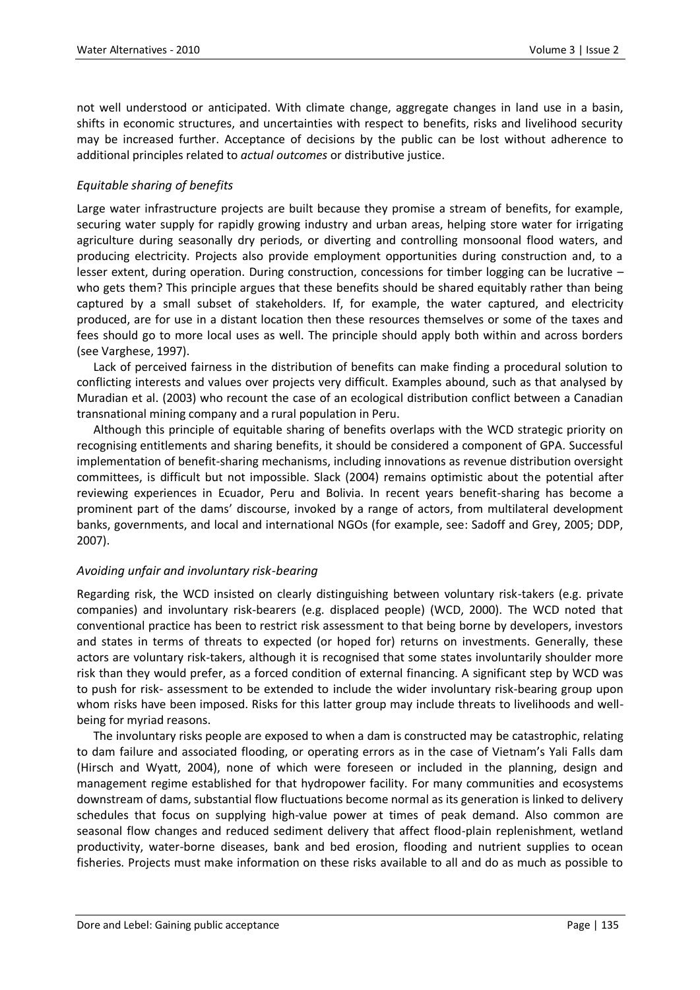not well understood or anticipated. With climate change, aggregate changes in land use in a basin, shifts in economic structures, and uncertainties with respect to benefits, risks and livelihood security may be increased further. Acceptance of decisions by the public can be lost without adherence to additional principles related to *actual outcomes* or distributive justice.

# *Equitable sharing of benefits*

Large water infrastructure projects are built because they promise a stream of benefits, for example, securing water supply for rapidly growing industry and urban areas, helping store water for irrigating agriculture during seasonally dry periods, or diverting and controlling monsoonal flood waters, and producing electricity. Projects also provide employment opportunities during construction and, to a lesser extent, during operation. During construction, concessions for timber logging can be lucrative – who gets them? This principle argues that these benefits should be shared equitably rather than being captured by a small subset of stakeholders. If, for example, the water captured, and electricity produced, are for use in a distant location then these resources themselves or some of the taxes and fees should go to more local uses as well. The principle should apply both within and across borders (see Varghese, 1997).

Lack of perceived fairness in the distribution of benefits can make finding a procedural solution to conflicting interests and values over projects very difficult. Examples abound, such as that analysed by Muradian et al. (2003) who recount the case of an ecological distribution conflict between a Canadian transnational mining company and a rural population in Peru.

Although this principle of equitable sharing of benefits overlaps with the WCD strategic priority on recognising entitlements and sharing benefits, it should be considered a component of GPA. Successful implementation of benefit-sharing mechanisms, including innovations as revenue distribution oversight committees, is difficult but not impossible. Slack (2004) remains optimistic about the potential after reviewing experiences in Ecuador, Peru and Bolivia. In recent years benefit-sharing has become a prominent part of the dams' discourse, invoked by a range of actors, from multilateral development banks, governments, and local and international NGOs (for example, see: Sadoff and Grey, 2005; DDP, 2007).

# *Avoiding unfair and involuntary risk-bearing*

Regarding risk, the WCD insisted on clearly distinguishing between voluntary risk-takers (e.g. private companies) and involuntary risk-bearers (e.g. displaced people) (WCD, 2000). The WCD noted that conventional practice has been to restrict risk assessment to that being borne by developers, investors and states in terms of threats to expected (or hoped for) returns on investments. Generally, these actors are voluntary risk-takers, although it is recognised that some states involuntarily shoulder more risk than they would prefer, as a forced condition of external financing. A significant step by WCD was to push for risk- assessment to be extended to include the wider involuntary risk-bearing group upon whom risks have been imposed. Risks for this latter group may include threats to livelihoods and wellbeing for myriad reasons.

The involuntary risks people are exposed to when a dam is constructed may be catastrophic, relating to dam failure and associated flooding, or operating errors as in the case of Vietnam's Yali Falls dam (Hirsch and Wyatt, 2004), none of which were foreseen or included in the planning, design and management regime established for that hydropower facility. For many communities and ecosystems downstream of dams, substantial flow fluctuations become normal as its generation is linked to delivery schedules that focus on supplying high-value power at times of peak demand. Also common are seasonal flow changes and reduced sediment delivery that affect flood-plain replenishment, wetland productivity, water-borne diseases, bank and bed erosion, flooding and nutrient supplies to ocean fisheries. Projects must make information on these risks available to all and do as much as possible to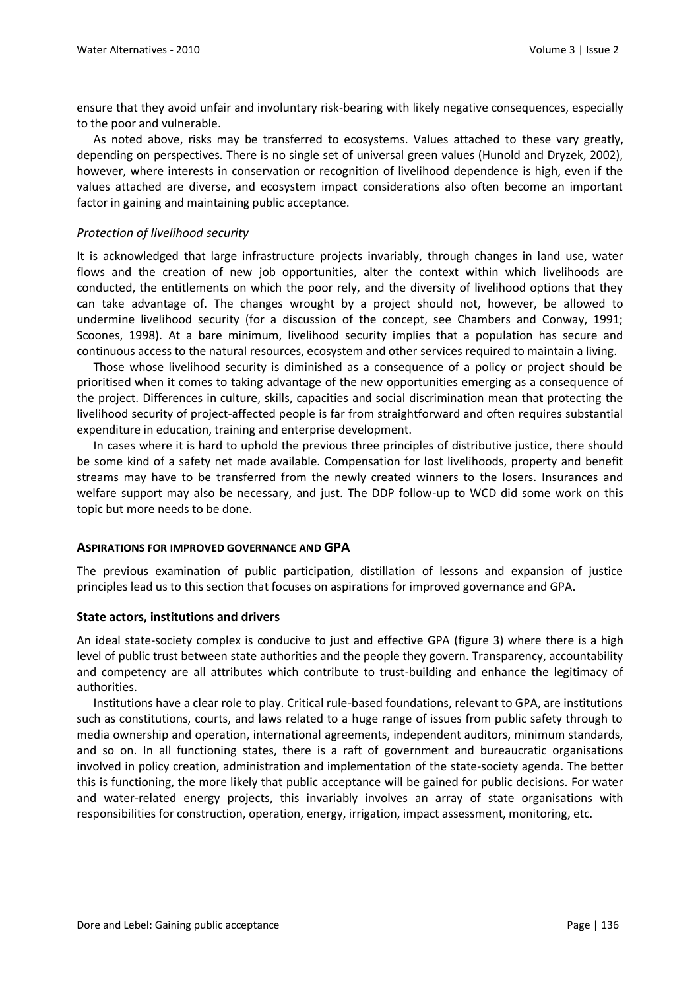ensure that they avoid unfair and involuntary risk-bearing with likely negative consequences, especially to the poor and vulnerable.

As noted above, risks may be transferred to ecosystems. Values attached to these vary greatly, depending on perspectives. There is no single set of universal green values (Hunold and Dryzek, 2002), however, where interests in conservation or recognition of livelihood dependence is high, even if the values attached are diverse, and ecosystem impact considerations also often become an important factor in gaining and maintaining public acceptance.

## *Protection of livelihood security*

It is acknowledged that large infrastructure projects invariably, through changes in land use, water flows and the creation of new job opportunities, alter the context within which livelihoods are conducted, the entitlements on which the poor rely, and the diversity of livelihood options that they can take advantage of. The changes wrought by a project should not, however, be allowed to undermine livelihood security (for a discussion of the concept, see Chambers and Conway, 1991; Scoones, 1998). At a bare minimum, livelihood security implies that a population has secure and continuous access to the natural resources, ecosystem and other services required to maintain a living.

Those whose livelihood security is diminished as a consequence of a policy or project should be prioritised when it comes to taking advantage of the new opportunities emerging as a consequence of the project. Differences in culture, skills, capacities and social discrimination mean that protecting the livelihood security of project-affected people is far from straightforward and often requires substantial expenditure in education, training and enterprise development.

In cases where it is hard to uphold the previous three principles of distributive justice, there should be some kind of a safety net made available. Compensation for lost livelihoods, property and benefit streams may have to be transferred from the newly created winners to the losers. Insurances and welfare support may also be necessary, and just. The DDP follow-up to WCD did some work on this topic but more needs to be done.

#### **ASPIRATIONS FOR IMPROVED GOVERNANCE AND GPA**

The previous examination of public participation, distillation of lessons and expansion of justice principles lead us to this section that focuses on aspirations for improved governance and GPA.

#### **State actors, institutions and drivers**

An ideal state-society complex is conducive to just and effective GPA (figure 3) where there is a high level of public trust between state authorities and the people they govern. Transparency, accountability and competency are all attributes which contribute to trust-building and enhance the legitimacy of authorities.

Institutions have a clear role to play. Critical rule-based foundations, relevant to GPA, are institutions such as constitutions, courts, and laws related to a huge range of issues from public safety through to media ownership and operation, international agreements, independent auditors, minimum standards, and so on. In all functioning states, there is a raft of government and bureaucratic organisations involved in policy creation, administration and implementation of the state-society agenda. The better this is functioning, the more likely that public acceptance will be gained for public decisions. For water and water-related energy projects, this invariably involves an array of state organisations with responsibilities for construction, operation, energy, irrigation, impact assessment, monitoring, etc.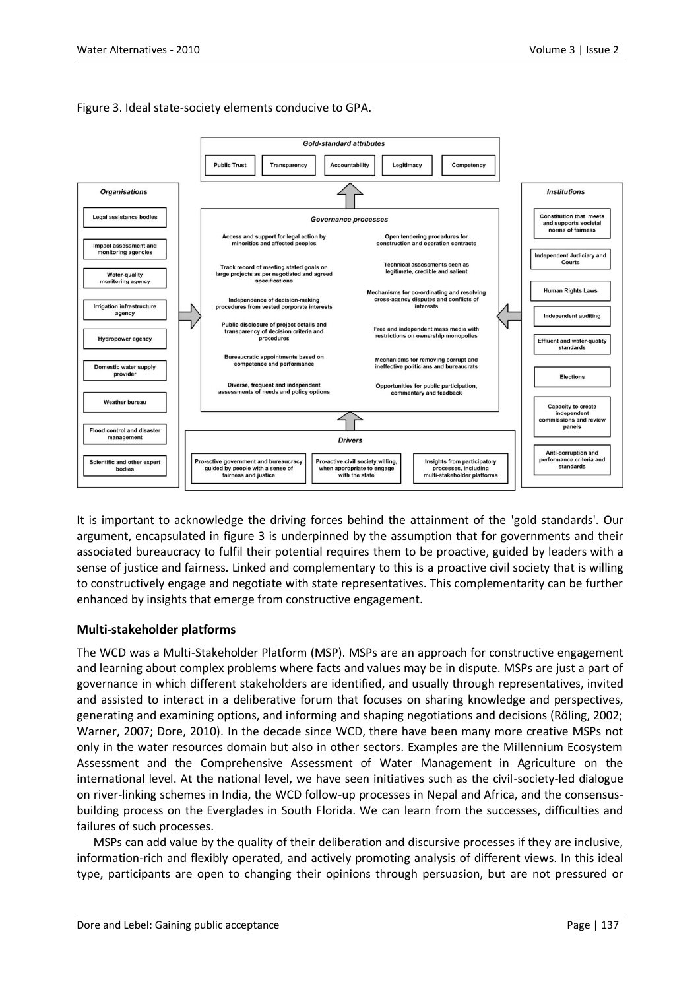Figure 3. Ideal state-society elements conducive to GPA.



It is important to acknowledge the driving forces behind the attainment of the 'gold standards'. Our argument, encapsulated in figure 3 is underpinned by the assumption that for governments and their associated bureaucracy to fulfil their potential requires them to be proactive, guided by leaders with a sense of justice and fairness. Linked and complementary to this is a proactive civil society that is willing to constructively engage and negotiate with state representatives. This complementarity can be further enhanced by insights that emerge from constructive engagement.

# **Multi-stakeholder platforms**

The WCD was a Multi-Stakeholder Platform (MSP). MSPs are an approach for constructive engagement and learning about complex problems where facts and values may be in dispute. MSPs are just a part of governance in which different stakeholders are identified, and usually through representatives, invited and assisted to interact in a deliberative forum that focuses on sharing knowledge and perspectives, generating and examining options, and informing and shaping negotiations and decisions (Röling, 2002; Warner, 2007; Dore, 2010). In the decade since WCD, there have been many more creative MSPs not only in the water resources domain but also in other sectors. Examples are the Millennium Ecosystem Assessment and the Comprehensive Assessment of Water Management in Agriculture on the international level. At the national level, we have seen initiatives such as the civil-society-led dialogue on river-linking schemes in India, the WCD follow-up processes in Nepal and Africa, and the consensusbuilding process on the Everglades in South Florida. We can learn from the successes, difficulties and failures of such processes.

MSPs can add value by the quality of their deliberation and discursive processes if they are inclusive, information-rich and flexibly operated, and actively promoting analysis of different views. In this ideal type, participants are open to changing their opinions through persuasion, but are not pressured or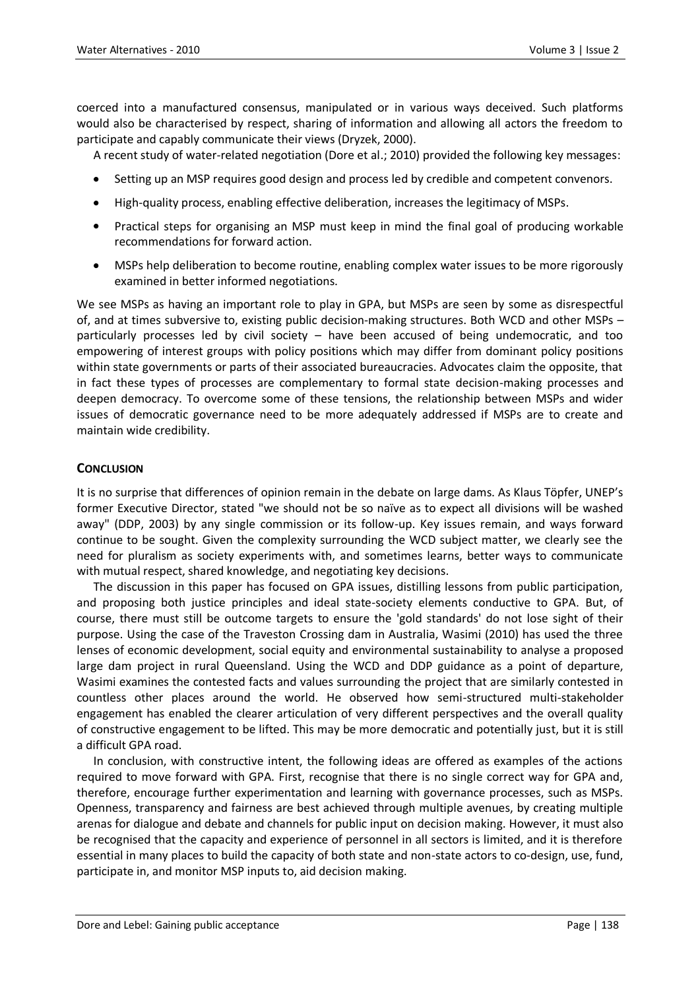coerced into a manufactured consensus, manipulated or in various ways deceived. Such platforms would also be characterised by respect, sharing of information and allowing all actors the freedom to participate and capably communicate their views (Dryzek, 2000).

A recent study of water-related negotiation (Dore et al.; 2010) provided the following key messages:

- Setting up an MSP requires good design and process led by credible and competent convenors.
- High-quality process, enabling effective deliberation, increases the legitimacy of MSPs.
- Practical steps for organising an MSP must keep in mind the final goal of producing workable recommendations for forward action.
- MSPs help deliberation to become routine, enabling complex water issues to be more rigorously examined in better informed negotiations.

We see MSPs as having an important role to play in GPA, but MSPs are seen by some as disrespectful of, and at times subversive to, existing public decision-making structures. Both WCD and other MSPs – particularly processes led by civil society – have been accused of being undemocratic, and too empowering of interest groups with policy positions which may differ from dominant policy positions within state governments or parts of their associated bureaucracies. Advocates claim the opposite, that in fact these types of processes are complementary to formal state decision-making processes and deepen democracy. To overcome some of these tensions, the relationship between MSPs and wider issues of democratic governance need to be more adequately addressed if MSPs are to create and maintain wide credibility.

## **CONCLUSION**

It is no surprise that differences of opinion remain in the debate on large dams. As Klaus Töpfer, UNEP's former Executive Director, stated "we should not be so naïve as to expect all divisions will be washed away" (DDP, 2003) by any single commission or its follow-up. Key issues remain, and ways forward continue to be sought. Given the complexity surrounding the WCD subject matter, we clearly see the need for pluralism as society experiments with, and sometimes learns, better ways to communicate with mutual respect, shared knowledge, and negotiating key decisions.

The discussion in this paper has focused on GPA issues, distilling lessons from public participation, and proposing both justice principles and ideal state-society elements conductive to GPA. But, of course, there must still be outcome targets to ensure the 'gold standards' do not lose sight of their purpose. Using the case of the Traveston Crossing dam in Australia, Wasimi (2010) has used the three lenses of economic development, social equity and environmental sustainability to analyse a proposed large dam project in rural Queensland. Using the WCD and DDP guidance as a point of departure, Wasimi examines the contested facts and values surrounding the project that are similarly contested in countless other places around the world. He observed how semi-structured multi-stakeholder engagement has enabled the clearer articulation of very different perspectives and the overall quality of constructive engagement to be lifted. This may be more democratic and potentially just, but it is still a difficult GPA road.

In conclusion, with constructive intent, the following ideas are offered as examples of the actions required to move forward with GPA. First, recognise that there is no single correct way for GPA and, therefore, encourage further experimentation and learning with governance processes, such as MSPs. Openness, transparency and fairness are best achieved through multiple avenues, by creating multiple arenas for dialogue and debate and channels for public input on decision making. However, it must also be recognised that the capacity and experience of personnel in all sectors is limited, and it is therefore essential in many places to build the capacity of both state and non-state actors to co-design, use, fund, participate in, and monitor MSP inputs to, aid decision making.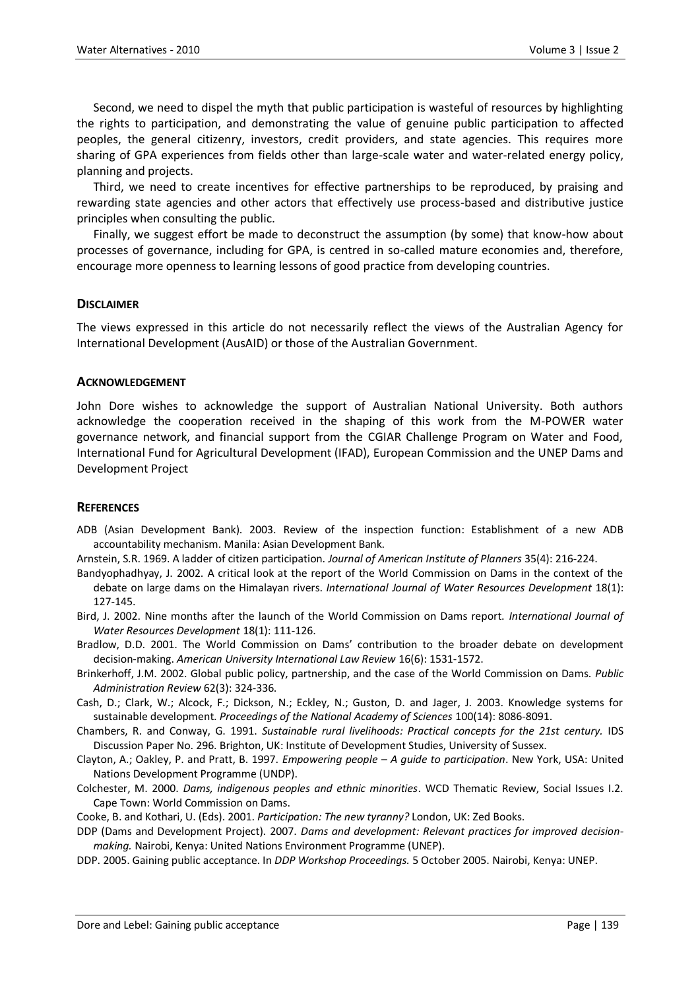Second, we need to dispel the myth that public participation is wasteful of resources by highlighting the rights to participation, and demonstrating the value of genuine public participation to affected peoples, the general citizenry, investors, credit providers, and state agencies. This requires more sharing of GPA experiences from fields other than large-scale water and water-related energy policy, planning and projects.

Third, we need to create incentives for effective partnerships to be reproduced, by praising and rewarding state agencies and other actors that effectively use process-based and distributive justice principles when consulting the public.

Finally, we suggest effort be made to deconstruct the assumption (by some) that know-how about processes of governance, including for GPA, is centred in so-called mature economies and, therefore, encourage more openness to learning lessons of good practice from developing countries.

#### **DISCLAIMER**

The views expressed in this article do not necessarily reflect the views of the Australian Agency for International Development (AusAID) or those of the Australian Government.

#### **ACKNOWLEDGEMENT**

John Dore wishes to acknowledge the support of Australian National University. Both authors acknowledge the cooperation received in the shaping of this work from the M-POWER water governance network, and financial support from the CGIAR Challenge Program on Water and Food, International Fund for Agricultural Development (IFAD), European Commission and the UNEP Dams and Development Project

#### **REFERENCES**

ADB (Asian Development Bank). 2003. Review of the inspection function: Establishment of a new ADB accountability mechanism. Manila: Asian Development Bank.

Arnstein, S.R. 1969. A ladder of citizen participation. *Journal of American Institute of Planners* 35(4): 216-224.

- Bandyophadhyay, J. 2002. A critical look at the report of the World Commission on Dams in the context of the debate on large dams on the Himalayan rivers. *International Journal of Water Resources Development* 18(1): 127-145.
- Bird, J. 2002. Nine months after the launch of the World Commission on Dams report. *International Journal of Water Resources Development* 18(1): 111-126.

Bradlow, D.D. 2001. The World Commission on Dams' contribution to the broader debate on development decision-making. *American University International Law Review* 16(6): 1531-1572.

- Brinkerhoff, J.M. 2002. Global public policy, partnership, and the case of the World Commission on Dams. *Public Administration Review* 62(3): 324-336.
- Cash, D.; Clark, W.; Alcock, F.; Dickson, N.; Eckley, N.; Guston, D. and Jager, J. 2003. Knowledge systems for sustainable development. *Proceedings of the National Academy of Sciences* 100(14): 8086-8091.
- Chambers, R. and Conway, G. 1991. *Sustainable rural livelihoods: Practical concepts for the 21st century.* IDS Discussion Paper No. 296. Brighton, UK: Institute of Development Studies, University of Sussex.
- Clayton, A.; Oakley, P. and Pratt, B. 1997. *Empowering people – A guide to participation*. New York, USA: United Nations Development Programme (UNDP).
- Colchester, M. 2000. *Dams, indigenous peoples and ethnic minorities*. WCD Thematic Review, Social Issues I.2. Cape Town: World Commission on Dams.
- Cooke, B. and Kothari, U. (Eds). 2001. *Participation: The new tyranny?* London, UK: Zed Books.
- DDP (Dams and Development Project). 2007. *Dams and development: Relevant practices for improved decisionmaking.* Nairobi, Kenya: United Nations Environment Programme (UNEP).
- DDP. 2005. Gaining public acceptance. In *DDP Workshop Proceedings.* 5 October 2005. Nairobi, Kenya: UNEP.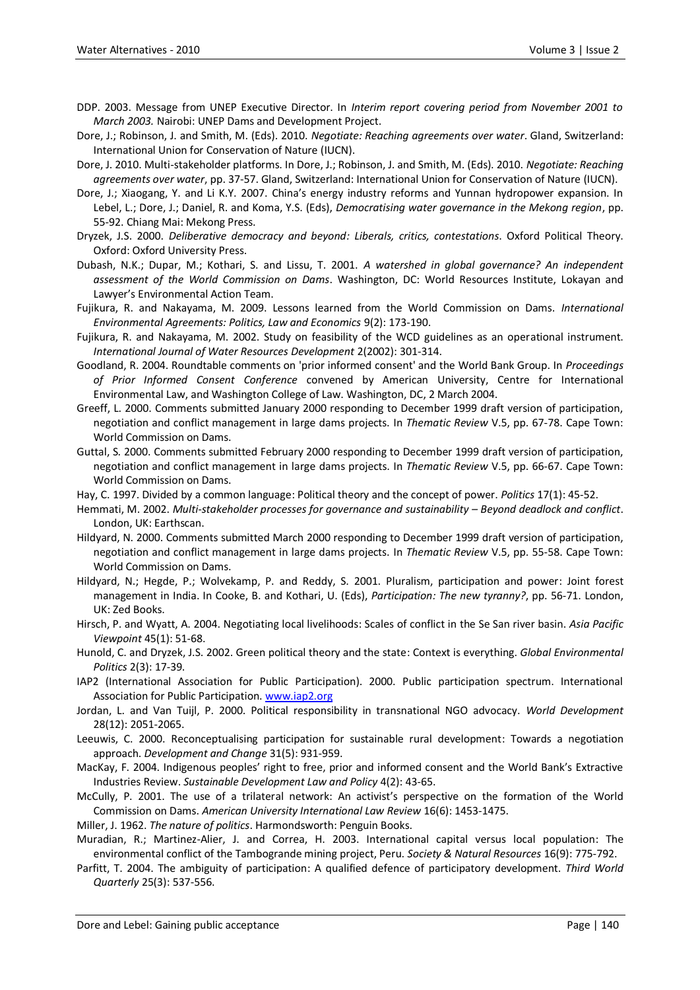- DDP. 2003. Message from UNEP Executive Director. In *Interim report covering period from November 2001 to March 2003.* Nairobi: UNEP Dams and Development Project.
- Dore, J.; Robinson, J. and Smith, M. (Eds). 2010. *Negotiate: Reaching agreements over water*. Gland, Switzerland: International Union for Conservation of Nature (IUCN).
- Dore, J. 2010. Multi-stakeholder platforms. In Dore, J.; Robinson, J. and Smith, M. (Eds). 2010. *Negotiate: Reaching agreements over water*, pp. 37-57. Gland, Switzerland: International Union for Conservation of Nature (IUCN).
- Dore, J.; Xiaogang, Y. and Li K.Y. 2007. China's energy industry reforms and Yunnan hydropower expansion. In Lebel, L.; Dore, J.; Daniel, R. and Koma, Y.S. (Eds), *Democratising water governance in the Mekong region*, pp. 55-92. Chiang Mai: Mekong Press.
- Dryzek, J.S. 2000. *Deliberative democracy and beyond: Liberals, critics, contestations*. Oxford Political Theory. Oxford: Oxford University Press.
- Dubash, N.K.; Dupar, M.; Kothari, S. and Lissu, T. 2001. *A watershed in global governance? An independent assessment of the World Commission on Dams*. Washington, DC: World Resources Institute, Lokayan and Lawyer's Environmental Action Team.
- Fujikura, R. and Nakayama, M. 2009. Lessons learned from the World Commission on Dams. *International Environmental Agreements: Politics, Law and Economics* 9(2): 173-190.
- Fujikura, R. and Nakayama, M. 2002. Study on feasibility of the WCD guidelines as an operational instrument. *International Journal of Water Resources Development* 2(2002): 301-314.
- Goodland, R. 2004. Roundtable comments on 'prior informed consent' and the World Bank Group. In *Proceedings of Prior Informed Consent Conference* convened by American University, Centre for International Environmental Law, and Washington College of Law. Washington, DC, 2 March 2004.
- Greeff, L. 2000. Comments submitted January 2000 responding to December 1999 draft version of participation, negotiation and conflict management in large dams projects. In *Thematic Review* V.5, pp. 67-78. Cape Town: World Commission on Dams.
- Guttal, S. 2000. Comments submitted February 2000 responding to December 1999 draft version of participation, negotiation and conflict management in large dams projects. In *Thematic Review* V.5, pp. 66-67. Cape Town: World Commission on Dams.
- Hay, C. 1997. Divided by a common language: Political theory and the concept of power. *Politics* 17(1): 45-52.
- Hemmati, M. 2002. *Multi-stakeholder processes for governance and sustainability – Beyond deadlock and conflict*. London, UK: Earthscan.
- Hildyard, N. 2000. Comments submitted March 2000 responding to December 1999 draft version of participation, negotiation and conflict management in large dams projects. In *Thematic Review* V.5, pp. 55-58. Cape Town: World Commission on Dams.
- Hildyard, N.; Hegde, P.; Wolvekamp, P. and Reddy, S. 2001. Pluralism, participation and power: Joint forest management in India. In Cooke, B. and Kothari, U. (Eds), *Participation: The new tyranny?*, pp. 56-71. London, UK: Zed Books.
- Hirsch, P. and Wyatt, A. 2004. Negotiating local livelihoods: Scales of conflict in the Se San river basin. *Asia Pacific Viewpoint* 45(1): 51-68.
- Hunold, C. and Dryzek, J.S. 2002. Green political theory and the state: Context is everything. *Global Environmental Politics* 2(3): 17-39.
- IAP2 (International Association for Public Participation). 2000. Public participation spectrum. International Association for Public Participation[. www.iap2.org](http://www.iap2.org/)
- Jordan, L. and Van Tuijl, P. 2000. Political responsibility in transnational NGO advocacy. *World Development* 28(12): 2051-2065.
- Leeuwis, C. 2000. Reconceptualising participation for sustainable rural development: Towards a negotiation approach. *Development and Change* 31(5): 931-959.
- MacKay, F. 2004. Indigenous peoples' right to free, prior and informed consent and the World Bank's Extractive Industries Review. *Sustainable Development Law and Policy* 4(2): 43-65.
- McCully, P. 2001. The use of a trilateral network: An activist's perspective on the formation of the World Commission on Dams. *American University International Law Review* 16(6): 1453-1475.
- Miller, J. 1962. *The nature of politics*. Harmondsworth: Penguin Books.
- Muradian, R.; Martinez-Alier, J. and Correa, H. 2003. International capital versus local population: The environmental conflict of the Tambogrande mining project, Peru. *Society & Natural Resources* 16(9): 775-792.
- Parfitt, T. 2004. The ambiguity of participation: A qualified defence of participatory development. *Third World Quarterly* 25(3): 537-556.